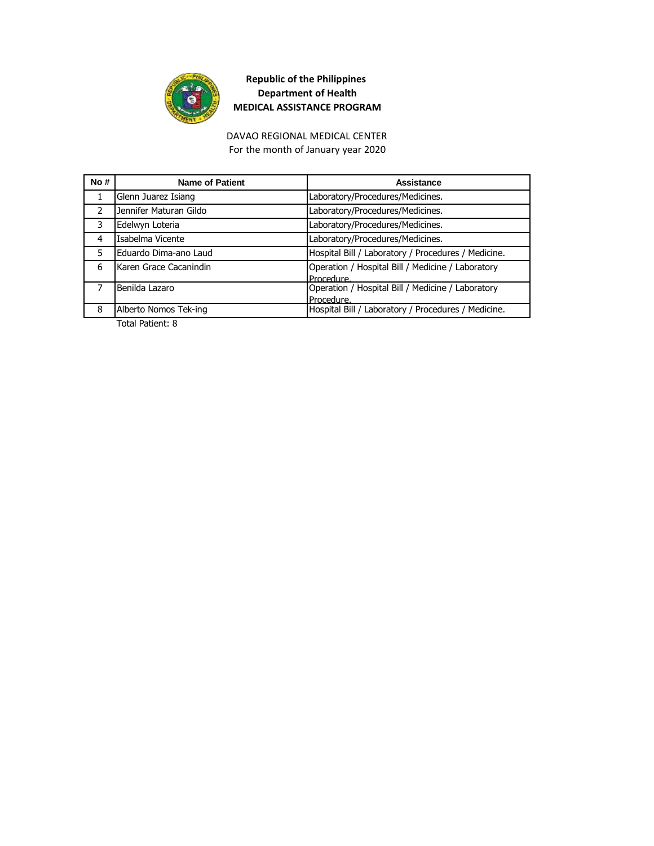

For the month of January year 2020 DAVAO REGIONAL MEDICAL CENTER

| No#           | <b>Name of Patient</b> | Assistance                                          |
|---------------|------------------------|-----------------------------------------------------|
|               | Glenn Juarez Isiang    | Laboratory/Procedures/Medicines.                    |
| $\mathcal{P}$ | Jennifer Maturan Gildo | Laboratory/Procedures/Medicines.                    |
| 3             | Edelwyn Loteria        | Laboratory/Procedures/Medicines.                    |
| 4             | Isabelma Vicente       | Laboratory/Procedures/Medicines.                    |
| 5             | Eduardo Dima-ano Laud  | Hospital Bill / Laboratory / Procedures / Medicine. |
| 6             | Karen Grace Cacanindin | Operation / Hospital Bill / Medicine / Laboratory   |
|               |                        | Procedure.                                          |
|               | Benilda Lazaro         | Operation / Hospital Bill / Medicine / Laboratory   |
|               |                        | Procedure.                                          |
| 8             | Alberto Nomos Tek-ing  | Hospital Bill / Laboratory / Procedures / Medicine. |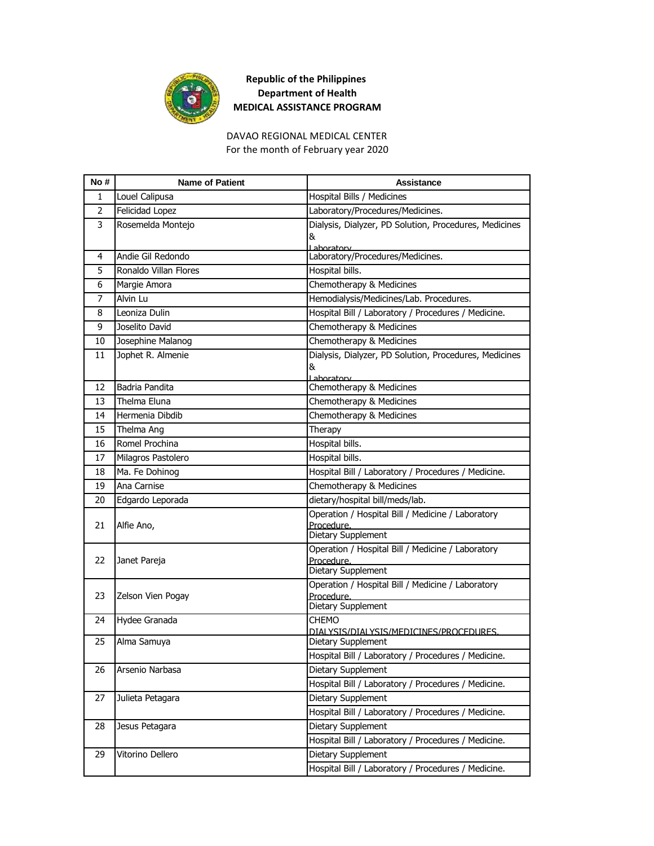

#### DAVAO REGIONAL MEDICAL CENTER For the month of February year 2020

| No#            | <b>Name of Patient</b> | <b>Assistance</b>                                               |
|----------------|------------------------|-----------------------------------------------------------------|
| 1              | Louel Calipusa         | Hospital Bills / Medicines                                      |
| $\overline{2}$ | Felicidad Lopez        | Laboratory/Procedures/Medicines.                                |
| 3              | Rosemelda Montejo      | Dialysis, Dialyzer, PD Solution, Procedures, Medicines          |
|                |                        | &<br>Lahoratory                                                 |
| 4              | Andie Gil Redondo      | Laboratory/Procedures/Medicines.                                |
| 5              | Ronaldo Villan Flores  | Hospital bills.                                                 |
| 6              | Margie Amora           | Chemotherapy & Medicines                                        |
| 7              | Alvin Lu               | Hemodialysis/Medicines/Lab. Procedures.                         |
| 8              | Leoniza Dulin          | Hospital Bill / Laboratory / Procedures / Medicine.             |
| 9              | Joselito David         | Chemotherapy & Medicines                                        |
| 10             | Josephine Malanog      | Chemotherapy & Medicines                                        |
| 11             | Jophet R. Almenie      | Dialysis, Dialyzer, PD Solution, Procedures, Medicines          |
|                |                        | &                                                               |
| 12             | Badria Pandita         | Lahoratory<br>Chemotherapy & Medicines                          |
| 13             | Thelma Eluna           | Chemotherapy & Medicines                                        |
| 14             | Hermenia Dibdib        | Chemotherapy & Medicines                                        |
| 15             | Thelma Ang             | Therapy                                                         |
| 16             | Romel Prochina         | Hospital bills.                                                 |
| 17             | Milagros Pastolero     | Hospital bills.                                                 |
| 18             | Ma. Fe Dohinog         | Hospital Bill / Laboratory / Procedures / Medicine.             |
| 19             | Ana Carnise            | Chemotherapy & Medicines                                        |
| 20             | Edgardo Leporada       | dietary/hospital bill/meds/lab.                                 |
| 21             |                        | Operation / Hospital Bill / Medicine / Laboratory               |
|                | Alfie Ano,             | Procedure.                                                      |
|                |                        | Dietary Supplement                                              |
| 22             | Janet Pareja           | Operation / Hospital Bill / Medicine / Laboratory<br>Procedure. |
|                |                        | Dietary Supplement                                              |
|                |                        | Operation / Hospital Bill / Medicine / Laboratory               |
| 23             | Zelson Vien Pogay      | Procedure.<br>Dietary Supplement                                |
| 24             | Hydee Granada          | <b>CHEMO</b>                                                    |
|                |                        | DIAI YSIS/DIAI YSIS/MEDICINES/PROCEDURES.                       |
| 25             | Alma Samuya            | Dietary Supplement                                              |
|                |                        | Hospital Bill / Laboratory / Procedures / Medicine.             |
| 26             | Arsenio Narbasa        | Dietary Supplement                                              |
|                |                        | Hospital Bill / Laboratory / Procedures / Medicine.             |
| 27             | Julieta Petagara       | Dietary Supplement                                              |
|                |                        | Hospital Bill / Laboratory / Procedures / Medicine.             |
| 28             | Jesus Petagara         | Dietary Supplement                                              |
|                |                        | Hospital Bill / Laboratory / Procedures / Medicine.             |
| 29             | Vitorino Dellero       | Dietary Supplement                                              |
|                |                        | Hospital Bill / Laboratory / Procedures / Medicine.             |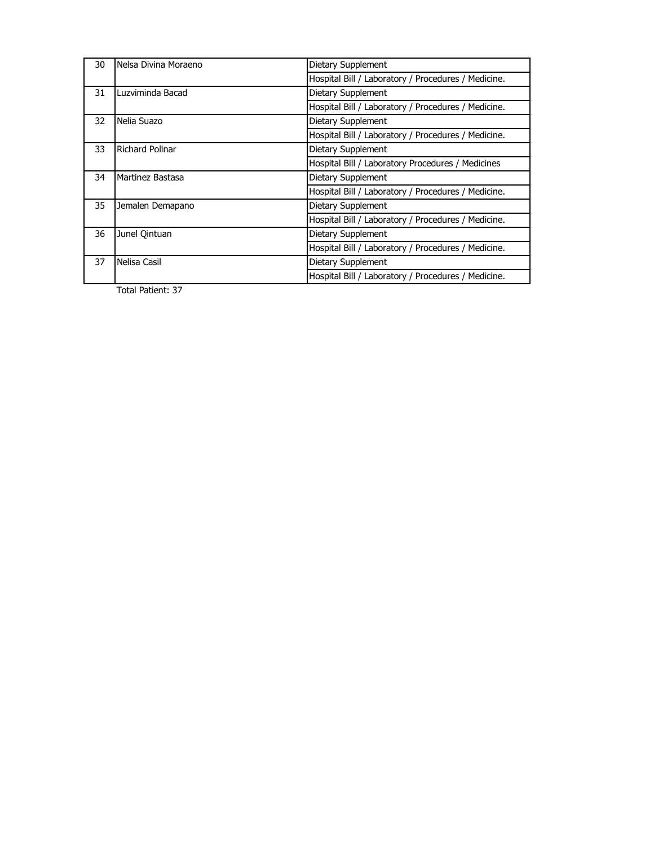| 30 | Nelsa Divina Moraeno   | Dietary Supplement                                  |
|----|------------------------|-----------------------------------------------------|
|    |                        | Hospital Bill / Laboratory / Procedures / Medicine. |
| 31 | Luzviminda Bacad       | Dietary Supplement                                  |
|    |                        | Hospital Bill / Laboratory / Procedures / Medicine. |
| 32 | Nelia Suazo            | Dietary Supplement                                  |
|    |                        | Hospital Bill / Laboratory / Procedures / Medicine. |
| 33 | <b>Richard Polinar</b> | Dietary Supplement                                  |
|    |                        | Hospital Bill / Laboratory Procedures / Medicines   |
| 34 | Martinez Bastasa       | Dietary Supplement                                  |
|    |                        | Hospital Bill / Laboratory / Procedures / Medicine. |
| 35 | Jemalen Demapano       | Dietary Supplement                                  |
|    |                        | Hospital Bill / Laboratory / Procedures / Medicine. |
| 36 | Junel Qintuan          | Dietary Supplement                                  |
|    |                        | Hospital Bill / Laboratory / Procedures / Medicine. |
| 37 | Nelisa Casil           | Dietary Supplement                                  |
|    |                        | Hospital Bill / Laboratory / Procedures / Medicine. |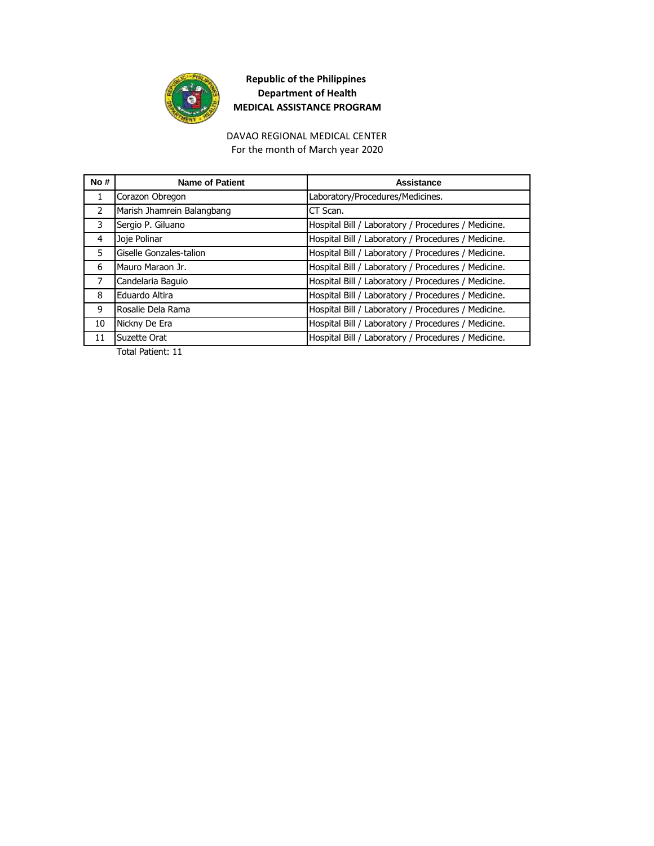

DAVAO REGIONAL MEDICAL CENTER For the month of March year 2020

| No# | <b>Name of Patient</b>     | Assistance                                          |
|-----|----------------------------|-----------------------------------------------------|
| 1   | Corazon Obregon            | Laboratory/Procedures/Medicines.                    |
| 2   | Marish Jhamrein Balangbang | CT Scan.                                            |
| 3   | Sergio P. Giluano          | Hospital Bill / Laboratory / Procedures / Medicine. |
| 4   | Joje Polinar               | Hospital Bill / Laboratory / Procedures / Medicine. |
| 5   | Giselle Gonzales-talion    | Hospital Bill / Laboratory / Procedures / Medicine. |
| 6   | Mauro Maraon Jr.           | Hospital Bill / Laboratory / Procedures / Medicine. |
| 7   | Candelaria Baguio          | Hospital Bill / Laboratory / Procedures / Medicine. |
| 8   | Eduardo Altira             | Hospital Bill / Laboratory / Procedures / Medicine. |
| 9   | Rosalie Dela Rama          | Hospital Bill / Laboratory / Procedures / Medicine. |
| 10  | Nickny De Era              | Hospital Bill / Laboratory / Procedures / Medicine. |
| 11  | Suzette Orat               | Hospital Bill / Laboratory / Procedures / Medicine. |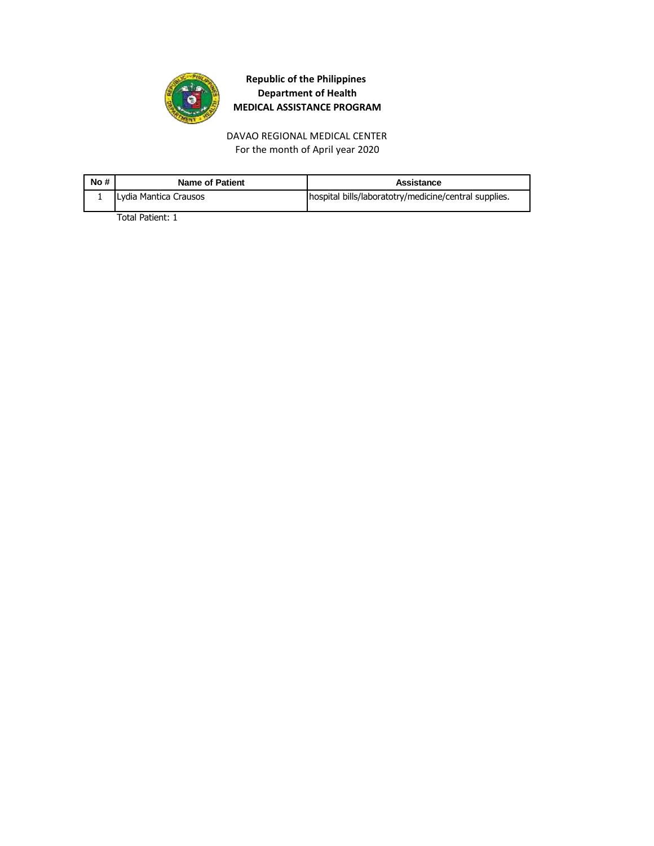

DAVAO REGIONAL MEDICAL CENTER For the month of April year 2020

| No# | <b>Name of Patient</b> | Assistance                                            |
|-----|------------------------|-------------------------------------------------------|
|     | Lydia Mantica Crausos  | hospital bills/laboratotry/medicine/central supplies. |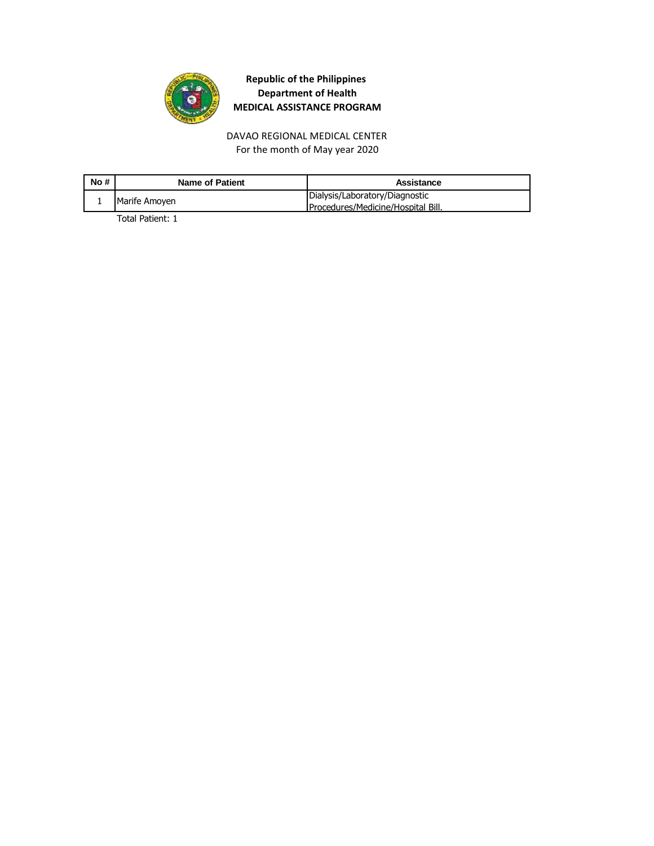

For the month of May year 2020 DAVAO REGIONAL MEDICAL CENTER

| No# | Name of Patient | Assistance                                                           |
|-----|-----------------|----------------------------------------------------------------------|
|     | Marife Amoyen   | Dialysis/Laboratory/Diagnostic<br>Procedures/Medicine/Hospital Bill. |
|     |                 |                                                                      |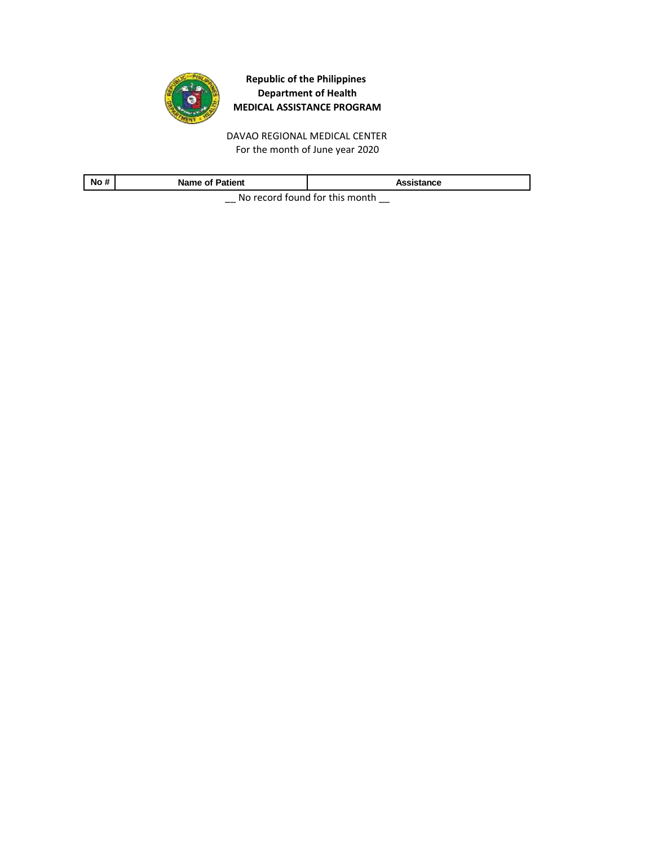

DAVAO REGIONAL MEDICAL CENTER For the month of June year 2020

| No #                             | <b>Name of Patient</b> | Assistance |
|----------------------------------|------------------------|------------|
| No recent found for this meanth. |                        |            |

 $\equiv$  No record found for this month  $\equiv$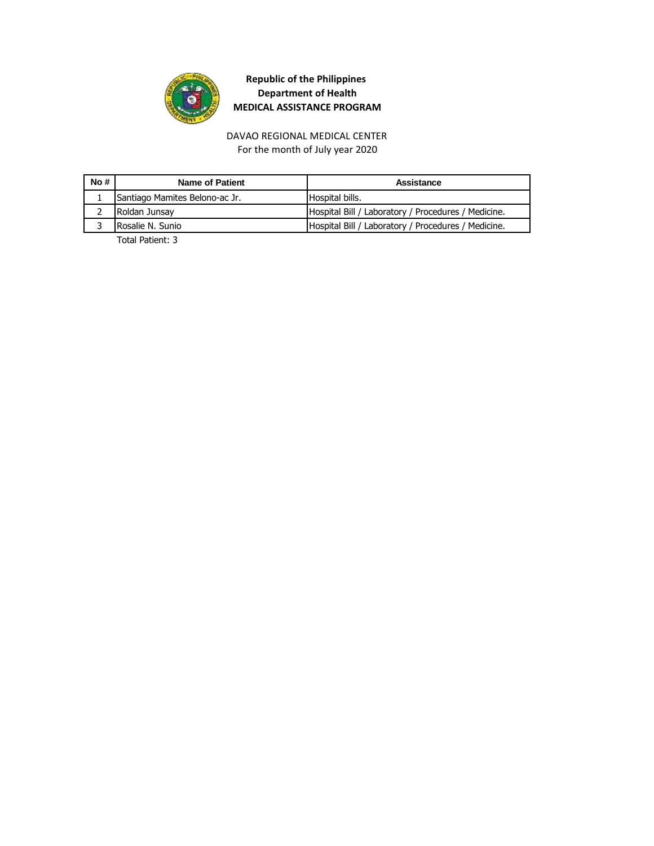

DAVAO REGIONAL MEDICAL CENTER For the month of July year 2020

| No# | Name of Patient                | Assistance                                          |
|-----|--------------------------------|-----------------------------------------------------|
|     | Santiago Mamites Belono-ac Jr. | Hospital bills.                                     |
|     | Roldan Junsay                  | Hospital Bill / Laboratory / Procedures / Medicine. |
|     | Rosalie N. Sunio               | Hospital Bill / Laboratory / Procedures / Medicine. |
|     | _ _  . _                       |                                                     |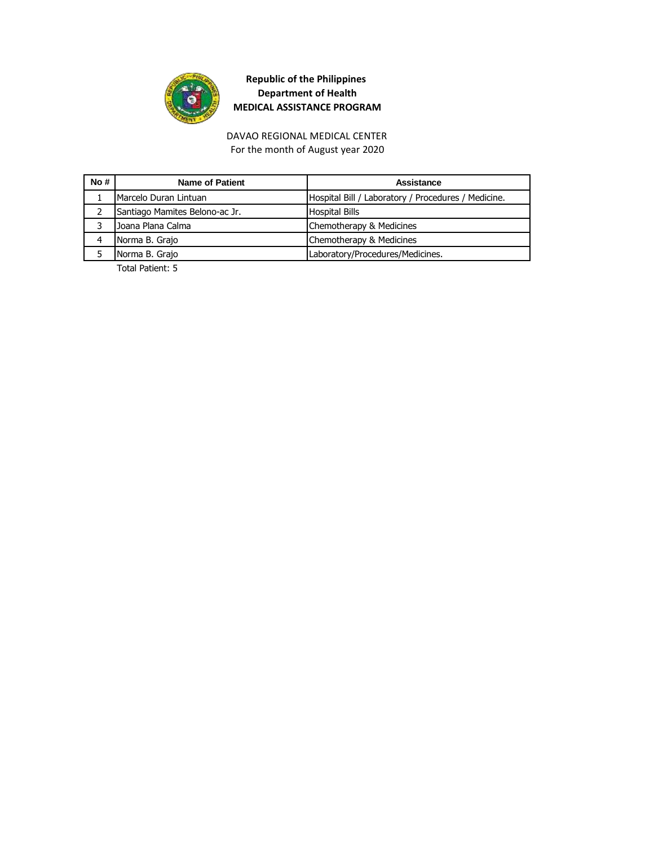

DAVAO REGIONAL MEDICAL CENTER For the month of August year 2020

| No# | Name of Patient                | Assistance                                          |
|-----|--------------------------------|-----------------------------------------------------|
|     | Marcelo Duran Lintuan          | Hospital Bill / Laboratory / Procedures / Medicine. |
|     | Santiago Mamites Belono-ac Jr. | <b>Hospital Bills</b>                               |
|     | Joana Plana Calma              | Chemotherapy & Medicines                            |
| 4   | Norma B. Grajo                 | Chemotherapy & Medicines                            |
|     | Norma B. Grajo                 | Laboratory/Procedures/Medicines.                    |
|     |                                |                                                     |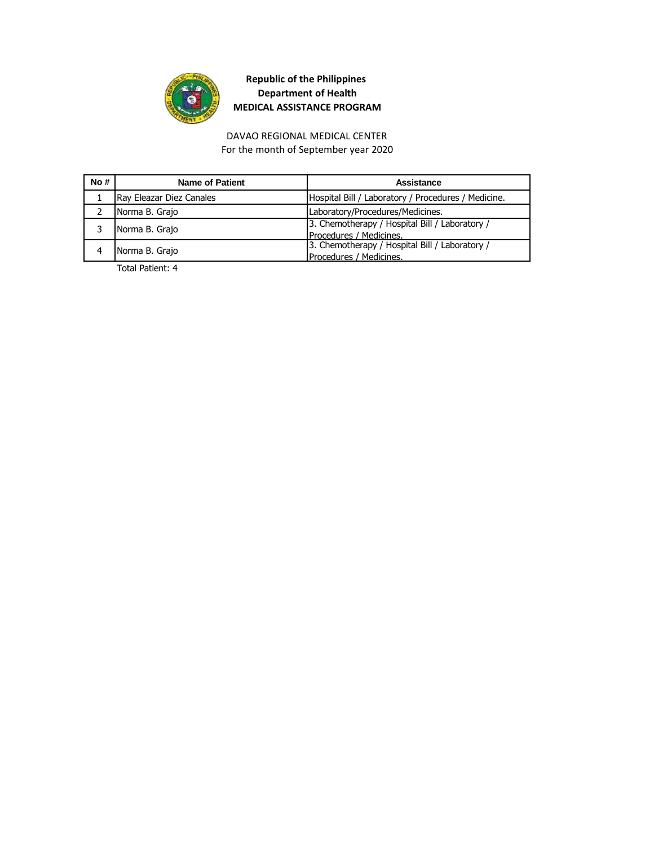

#### DAVAO REGIONAL MEDICAL CENTER For the month of September year 2020

| No# | Name of Patient          | Assistance                                          |
|-----|--------------------------|-----------------------------------------------------|
|     | Ray Eleazar Diez Canales | Hospital Bill / Laboratory / Procedures / Medicine. |
|     | Norma B. Grajo           | Laboratory/Procedures/Medicines.                    |
|     | Norma B. Grajo           | 3. Chemotherapy / Hospital Bill / Laboratory /      |
|     |                          | Procedures / Medicines.                             |
|     | Norma B. Grajo           | 3. Chemotherapy / Hospital Bill / Laboratory /      |
|     |                          | Procedures / Medicines.                             |